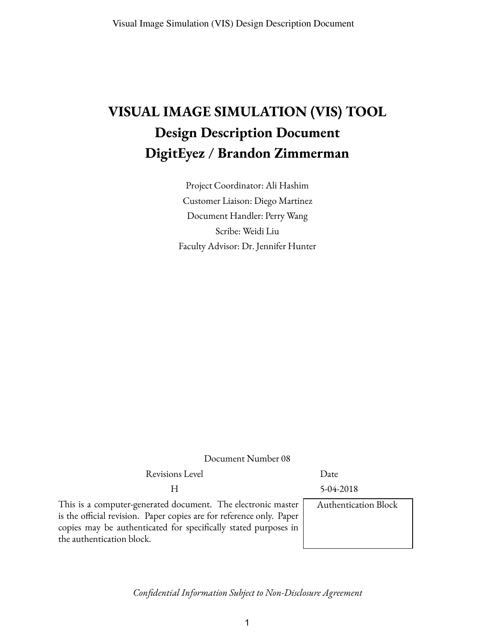# **VISUAL IMAGE SIMULATION (VIS) TOOL Design Description Document DigitEyez / Brandon Zimmerman**

Project Coordinator: Ali Hashim Customer Liaison: Diego Martinez Document Handler: Perry Wang Scribe: Weidi Liu Faculty Advisor: Dr. Jennifer Hunter

Document Number 08

Revisions Level Date

H 5-04-2018

This is a computer-generated document. The electronic master is the official revision. Paper copies are for reference only. Paper copies may be authenticated for specifically stated purposes in the authentication block.

Authentication Block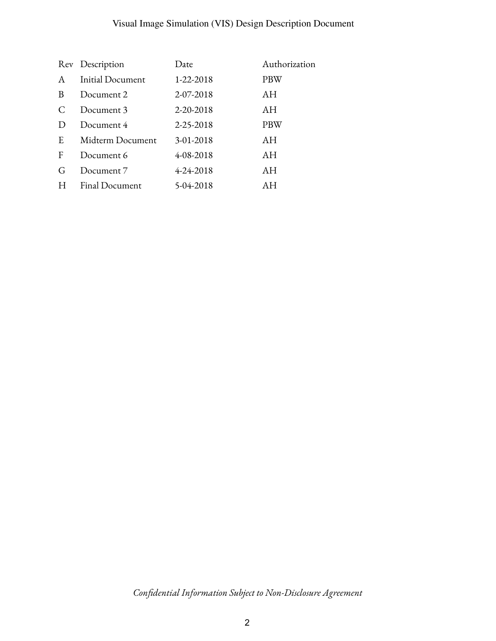# Visual Image Simulation (VIS) Design Description Document

|               | Rev Description         | Date      | Authorization |
|---------------|-------------------------|-----------|---------------|
| A             | <b>Initial Document</b> | 1-22-2018 | PBW           |
| B             | Document 2              | 2-07-2018 | AH            |
|               | Document 3              | 2-20-2018 | AH            |
| $\mathcal{D}$ | Document 4              | 2-25-2018 | <b>PBW</b>    |
| E             | Midterm Document        | 3-01-2018 | AH            |
| F             | Document 6              | 4-08-2018 | AH            |
| G             | Document 7              | 4-24-2018 | AH            |
| H             | Final Document          | 5-04-2018 | AН            |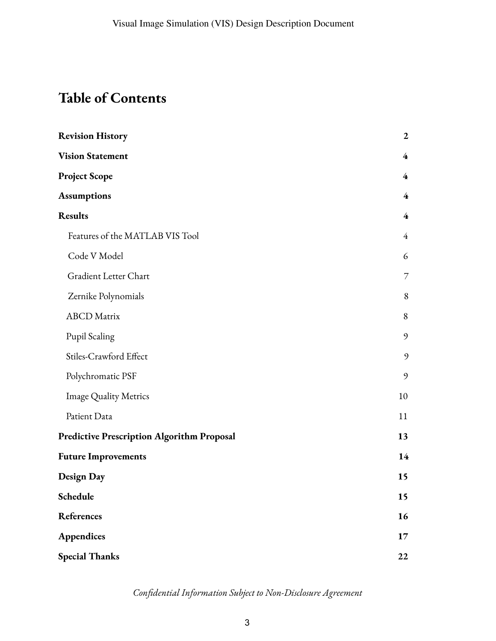# **Table of Contents**

| <b>Revision History</b>                           | $\boldsymbol{2}$        |
|---------------------------------------------------|-------------------------|
| <b>Vision Statement</b>                           | $\overline{\mathbf{4}}$ |
| <b>Project Scope</b>                              | $\overline{4}$          |
| <b>Assumptions</b>                                | 4                       |
| <b>Results</b>                                    | $\overline{4}$          |
| Features of the MATLAB VIS Tool                   | $\overline{4}$          |
| Code V Model                                      | 6                       |
| Gradient Letter Chart                             | 7                       |
| Zernike Polynomials                               | $\, 8$                  |
| <b>ABCD</b> Matrix                                | 8                       |
| Pupil Scaling                                     | 9                       |
| Stiles-Crawford Effect                            | $\mathfrak{g}$          |
| Polychromatic PSF                                 | 9                       |
| <b>Image Quality Metrics</b>                      | 10                      |
| Patient Data                                      | 11                      |
| <b>Predictive Prescription Algorithm Proposal</b> | 13                      |
| <b>Future Improvements</b>                        | 14                      |
| <b>Design Day</b>                                 | 15                      |
| Schedule                                          | 15                      |
| References                                        | 16                      |
| Appendices                                        | 17                      |
| <b>Special Thanks</b>                             | 22                      |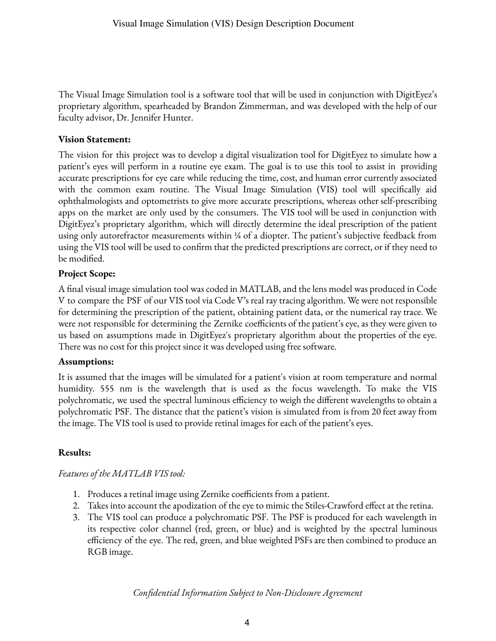The Visual Image Simulation tool is a software tool that will be used in conjunction with DigitEyez's proprietary algorithm, spearheaded by Brandon Zimmerman, and was developed with the help of our faculty advisor, Dr. Jennifer Hunter.

## **Vision Statement:**

The vision for this project was to develop a digital visualization tool for DigitEyez to simulate how a patient's eyes will perform in a routine eye exam. The goal is to use this tool to assist in providing accurate prescriptions for eye care while reducing the time, cost, and human error currently associated with the common exam routine. The Visual Image Simulation (VIS) tool will specifically aid ophthalmologists and optometrists to give more accurate prescriptions, whereas other self-prescribing apps on the market are only used by the consumers. The VIS tool will be used in conjunction with DigitEyez's proprietary algorithm, which will directly determine the ideal prescription of the patient using only autorefractor measurements within 1/4 of a diopter. The patient's subjective feedback from using the VIS tool will be used to confirm that the predicted prescriptions are correct, or if they need to be modified.

## **Project Scope:**

A final visual image simulation tool was coded in MATLAB, and the lens model was produced in Code V to compare the PSF of our VIS tool via Code V's real ray tracing algorithm. We were not responsible for determining the prescription of the patient, obtaining patient data, or the numerical ray trace. We were not responsible for determining the Zernike coefficients of the patient's eye, as they were given to us based on assumptions made in DigitEyez's proprietary algorithm about the properties of the eye. There was no cost for this project since it was developed using free software.

## **Assumptions:**

It is assumed that the images will be simulated for a patient's vision at room temperature and normal humidity. 555 nm is the wavelength that is used as the focus wavelength. To make the VIS polychromatic, we used the spectral luminous efficiency to weigh the different wavelengths to obtain a polychromatic PSF. The distance that the patient's vision is simulated from is from 20 feetaway from the image. The VIS tool is used to provide retinal images for each of the patient's eyes.

## **Results:**

## *Features of the MATLAB VIS tool:*

- 1. Produces a retinal image using Zernike coefficients from a patient.
- 2. Takes into account the apodization of the eye to mimic the Stiles-Crawford effect at the retina.
- 3. The VIS tool can produce a polychromatic PSF. The PSF is produced for each wavelength in its respective color channel (red, green, or blue) and is weighted by the spectral luminous efficiency of the eye. The red, green, and blue weighted PSFs are then combined to produce an RGB image.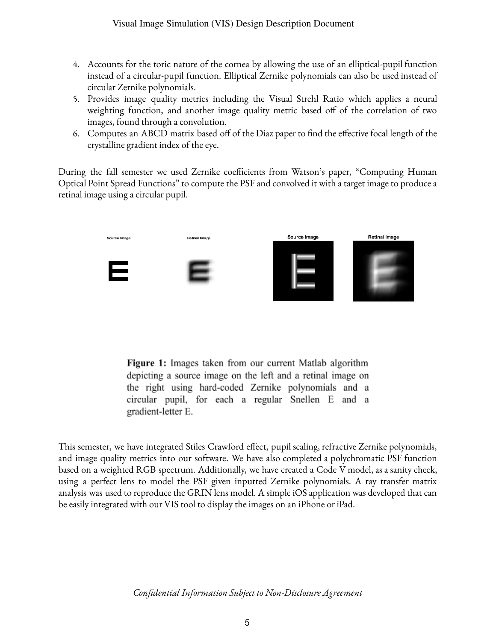- 4. Accounts for the toric nature of the cornea by allowing the use of an elliptical-pupil function instead of a circular-pupil function. Elliptical Zernike polynomials can also be used instead of circular Zernike polynomials.
- 5. Provides image quality metrics including the Visual Strehl Ratio which applies a neural weighting function, and another image quality metric based off of the correlation of two images, found through a convolution.
- 6. Computes an ABCD matrix based off of the Diaz paper to find the effective focal length of the crystalline gradient index of the eye.

During the fall semester we used Zernike coefficients from Watson's paper, "Computing Human" Optical Point Spread Functions" to compute the PSF and convolved it with atarget image to producea retinal image using a circular pupil.



**Figure 1:** Images taken from our current Matlab algorithm depicting a source image on the left and a retinal image on the right using hard-coded Zernike polynomials and a circular pupil, for each a regular Snellen E and a gradient-letter E.

This semester, we have integrated Stiles Crawford effect, pupil scaling, refractive Zernike polynomials, and image quality metrics into our software. We have also completed a polychromatic PSF function based on a weighted RGB spectrum. Additionally, we have created a Code V model, as a sanity check, using a perfect lens to model the PSF given inputted Zernike polynomials. A ray transfer matrix analysis was used to reproduce the GRIN lens model. A simple iOS application was developed that can be easily integrated with our VIS tool to display the images on an iPhone or iPad.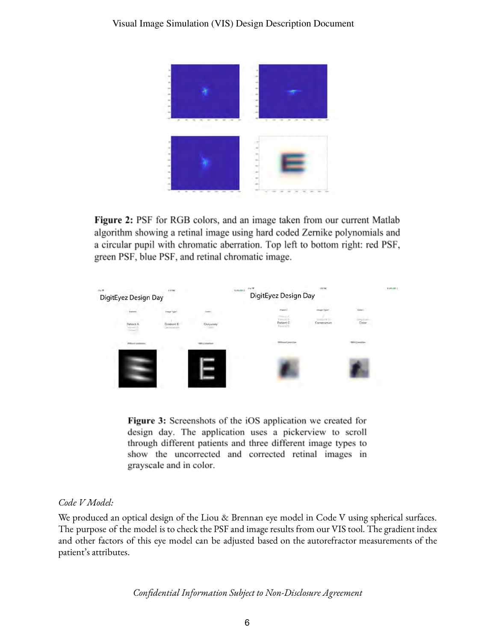

**Figure 2:** PSF for RGB colors, and an image taken from our current Matlab algorithm showing a retinal image using hard coded Zernike polynomials and a circular pupil with chromatic aberration. Top left to bottom right: red PSF, green PSF, blue PSF, and retinal chromatic image.



Figure 3: Screenshots of the iOS application we created for design day. The application uses a pickerview to scroll through different patients and three different image types to show the uncorrected and corrected retinal images in grayscale and in color.

#### *Code V Model:*

We produced an optical design of the Liou & Brennan eye model in Code V using spherical surfaces. The purpose of the model is to check the PSF and image results from our VIS tool. The gradient index and other factors of this eye model can be adjusted based on the autorefractor measurements of the patient's attributes.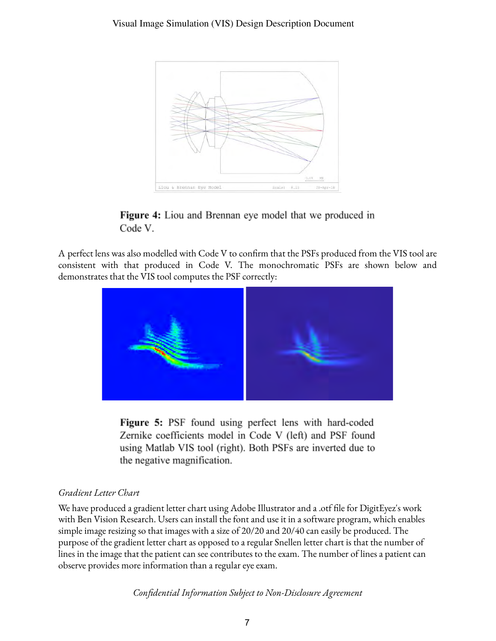

**Figure 4:** Liou and Brennan eye model that we produced in Code V.

A perfect lens was also modelled with Code V to confirm that the PSFs produced from the VIS tool are consistent with that produced in Code V. The monochromatic PSFs are shown below and demonstrates that the VIS tool computes the PSF correctly:



**Figure 5:** PSF found using perfect lens with hard-coded Zernike coefficients model in Code V (left) and PSF found using Matlab VIS tool (right). Both PSFs are inverted due to the negative magnification.

## *Gradient Letter Chart*

We have produced a gradient letter chart using Adobe Illustrator and a .otf file for DigitEyez's work with Ben Vision Research. Users can install the font and use it in a software program, which enables simple image resizing so that images with a size of 20/20 and 20/40 can easily be produced. The purpose of the gradient letter chart as opposed to a regular Snellen letter chart is that the number of lines in the image that the patient can see contributes to the exam. The number of lines a patient can observe provides more information than a regular eye exam.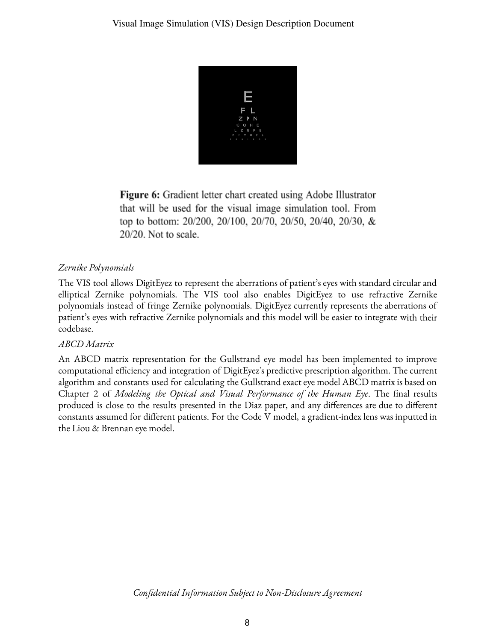

**Figure 6:** Gradient letter chart created using Adobe Illustrator that will be used for the visual image simulation tool. From top to bottom:  $20/200$ ,  $20/100$ ,  $20/70$ ,  $20/50$ ,  $20/40$ ,  $20/30$ , &  $20/20$ . Not to scale.

# *Zernike Polynomials*

The VIS tool allows DigitEyez to represent the aberrations of patient's eyes with standard circularand elliptical Zernike polynomials. The VIS tool also enables DigitEyez to use refractive Zernike polynomials instead of fringe Zernike polynomials. DigitEyez currently represents the aberrations of patient's eyes with refractive Zernike polynomials and this model will be easier to integrate with their codebase.

## *ABCD Matrix*

An ABCD matrix representation for the Gullstrand eye model has been implemented to improve computational efficiency and integration of DigitEyez's predictive prescription algorithm. The current algorithm and constants used for calculating the Gullstrand exact eye model ABCD matrix is based on Chapter 2 of *Modeling the Optical and Visual Performance of the Human Eye*. The nal results produced is close to the results presented in the Diaz paper, and any differences are due to different constants assumed for different patients. For the Code V model, a gradient-index lens was inputted in the Liou & Brennan eye model.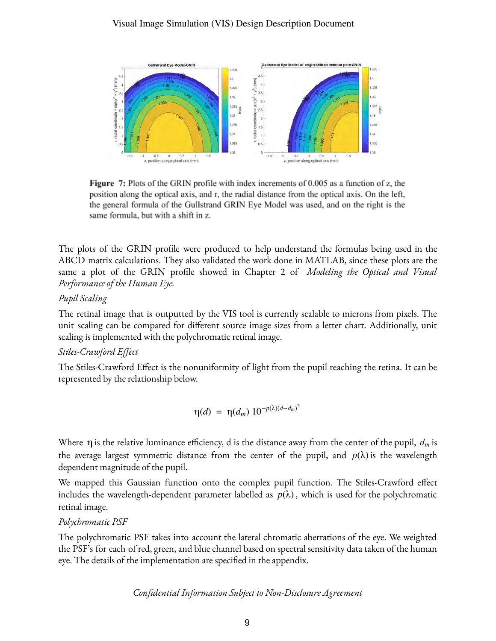

**Figure 7:** Plots of the GRIN profile with index increments of 0.005 as a function of z, the position along the optical axis, and r, the radial distance from the optical axis. On the left, the general formula of the Gullstrand GRIN Eye Model was used, and on the right is the same formula, but with a shift in z.

The plots of the GRIN profile were produced to help understand the formulas being used in the ABCD matrix calculations. They also validated the work done in MATLAB, since these plots are the same a plot of the GRIN prole showed in Chapter 2 of *Modeling the Optical and Visual Performance of the Human Eye.*

## *Pupil Scaling*

The retinal image that is outputted by the VIS tool is currently scalable to microns from pixels. The unit scaling can be compared for different source image sizes from a letter chart. Additionally, unit scaling is implemented with the polychromatic retinal image.

## *Stiles-Crawford Effect*

The Stiles-Crawford Effect is the nonuniformity of light from the pupil reaching the retina. It can be represented by the relationship below.

$$
\eta(d) = \eta(d_m) 10^{-p(\lambda)(d-d_m)^2}
$$

Where  $\eta$  is the relative luminance efficiency, d is the distance away from the center of the pupil,  $d_m$  is the average largest symmetric distance from the center of the pupil, and  $p(\lambda)$  is the wavelength dependent magnitude of the pupil.

We mapped this Gaussian function onto the complex pupil function. The Stiles-Crawford effect includes the wavelength-dependent parameter labelled as  $p(\lambda)$ , which is used for the polychromatic retinal image.

## *Polychromatic PSF*

The polychromatic PSF takes into account the lateral chromatic aberrations of the eye. We weighted the PSF's for each of red, green, and blue channel based on spectral sensitivity data taken of the human eye. The details of the implementation are specified in the appendix.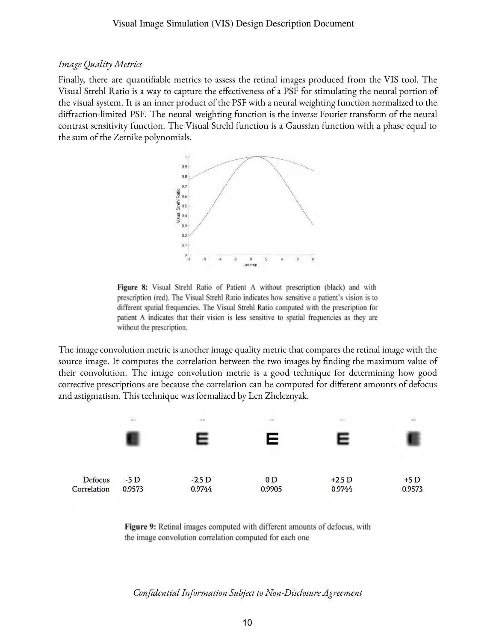#### *Image Quality Metrics*

Finally, there are quantifiable metrics to assess the retinal images produced from the VIS tool. The Visual Strehl Ratio is a way to capture the effectiveness of a PSF for stimulating the neural portion of the visual system. It is an inner product of the PSF with a neural weighting function normalized to the diffraction-limited PSF. The neural weighting function is the inverse Fourier transform of the neural contrast sensitivity function. The Visual Strehl function is a Gaussian function with a phase equal to the sum of the Zernike polynomials.



Figure 8: Visual Strehl Ratio of Patient A without prescription (black) and with prescription (red). The Visual Strehl Ratio indicates how sensitive a patient's vision is to different spatial frequencies. The Visual Strehl Ratio computed with the prescription for patient A indicates that their vision is less sensitive to spatial frequencies as they are without the prescription.

The image convolution metric is another image quality metric that compares the retinal image with the source image. It computes the correlation between the two images by finding the maximum value of their convolution. The image convolution metric is a good technique for determining how good corrective prescriptions are because the correlation can be computed for different amounts of defocus and astigmatism. This technique was formalized by Len Zheleznyak.



**Figure 9:** Retinal images computed with different amounts of defocus, with the image convolution correlation computed for each one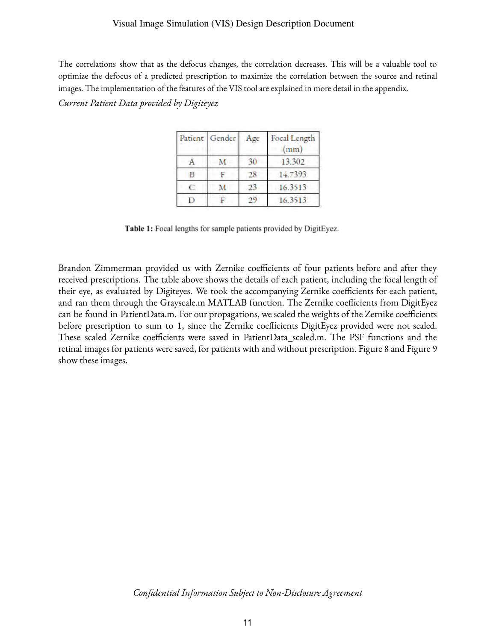#### Visual Image Simulation (VIS) Design Description Document

The correlations show that as the defocus changes, the correlation decreases. This will be a valuable tool to optimize the defocus of a predicted prescription to maximize the correlation between the source and retinal images. The implementation of the features of the VIS tool are explained in more detail in the appendix.

*Current Patient Data provided by Digiteyez*

| Patient Gender | Age | Focal Length<br>mm |
|----------------|-----|--------------------|
|                |     | 13.302             |
|                | 28  | 14.7393            |
|                | 23  | 16.3513            |
|                |     | 16.3513            |

Table 1: Focal lengths for sample patients provided by DigitEyez.

Brandon Zimmerman provided us with Zernike coefficients of four patients before and after they received prescriptions. The table above shows the details of each patient, including the focal length of their eye, as evaluated by Digiteyes. We took the accompanying Zernike coefficients for each patient, and ran them through the Grayscale.m MATLAB function. The Zernike coefficients from DigitEyez can be found in PatientData.m. For our propagations, we scaled the weights of the Zernike coefficients before prescription to sum to 1, since the Zernike coefficients DigitEyez provided were not scaled. These scaled Zernike coefficients were saved in PatientData\_scaled.m. The PSF functions and the retinal images for patients were saved, for patients with and without prescription. Figure 8 and Figure 9 show these images.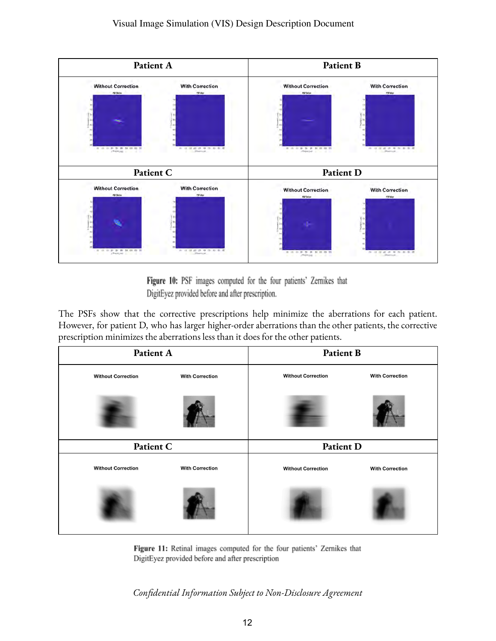

Figure 10: PSF images computed for the four patients' Zernikes that DigitEyez provided before and after prescription.

The PSFs show that the corrective prescriptions help minimize the aberrations for each patient. However, for patient D, who has larger higher-order aberrations than the other patients, the corrective prescription minimizes the aberrations less than it does for the other patients.

| Patient A                 |                        | Patient B                 |                        |
|---------------------------|------------------------|---------------------------|------------------------|
| <b>Without Correction</b> | <b>With Correction</b> | <b>Without Correction</b> | <b>With Correction</b> |
|                           |                        |                           |                        |
| Patient C                 |                        | Patient D                 |                        |
| <b>Without Correction</b> | <b>With Correction</b> | <b>Without Correction</b> | <b>With Correction</b> |
|                           |                        |                           |                        |

Figure 11: Retinal images computed for the four patients' Zernikes that DigitEyez provided before and after prescription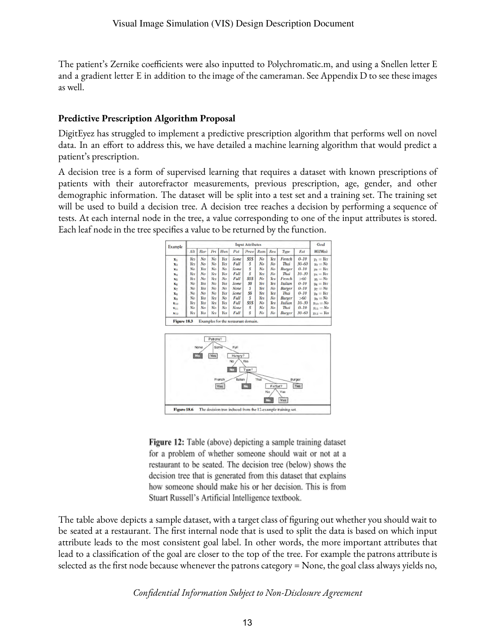The patient's Zernike coefficients were also inputted to Polychromatic.m, and using a Snellen letter E and a gradient letter E in addition to the image of the cameraman. See Appendix D to see these images as well.

#### **Predictive Prescription Algorithm Proposal**

DigitEyez has struggled to implement a predictive prescription algorithm that performs well on novel data. In an effort to address this, we have detailed a machine learning algorithm that would predict a patient's prescription.

A decision tree is a form of supervised learning that requires a dataset with known prescriptions of patients with their autorefractor measurements, previous prescription, age, gender, and other demographic information. The dataset will be split into a test set and a training set. The training set will be used to build a decision tree. A decision tree reaches a decision by performing a sequence of tests. At each internal node in the tree, a value corresponding to one of the input attributes is stored. Each leaf node in the tree specifies a value to be returned by the function.



Figure 12: Table (above) depicting a sample training dataset for a problem of whether someone should wait or not at a restaurant to be seated. The decision tree (below) shows the decision tree that is generated from this dataset that explains how someone should make his or her decision. This is from Stuart Russell's Artificial Intelligence textbook.

The table above depicts a sample dataset, with a target class of figuring out whether you should wait to be seated at a restaurant. The first internal node that is used to split the data is based on which input attribute leads to the most consistent goal label. In other words, the more important attributes that lead to a classification of the goal are closer to the top of the tree. For example the patrons attribute is selected as the first node because whenever the patrons category  $=$  None, the goal class always yields no,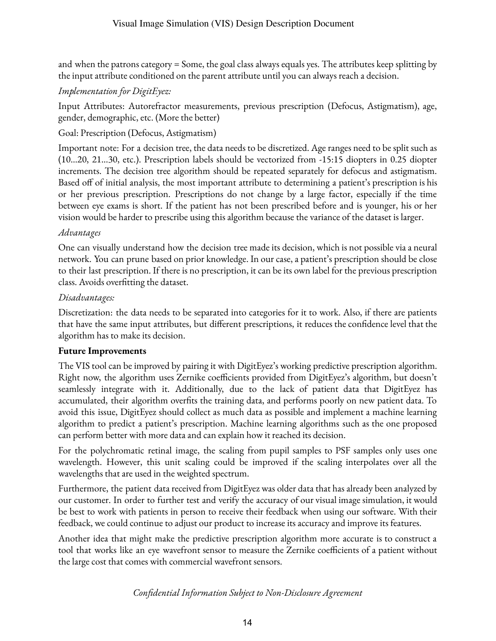and when the patrons category = Some, the goal class always equals yes. The attributes keep splitting by the input attribute conditioned on the parent attribute until you can always reach a decision.

## *Implementation for DigitEyez:*

Input Attributes: Autorefractor measurements, previous prescription (Defocus, Astigmatism), age, gender, demographic, etc. (More the better)

## Goal: Prescription (Defocus, Astigmatism)

Important note: For a decision tree, the data needs to be discretized. Age ranges need to be split such as (10…20, 21...30, etc.). Prescription labels should be vectorized from -15:15 diopters in 0.25 diopter increments. The decision tree algorithm should be repeated separately for defocus and astigmatism. Based off of initial analysis, the most important attribute to determining a patient's prescription is his or her previous prescription. Prescriptions do not change by a large factor, especially if the time between eye exams is short. If the patient has not been prescribed before and is younger, his or her vision would be harder to prescribe using this algorithm because the variance of the dataset is larger.

## *Advantages*

One can visually understand how the decision tree made its decision, which is not possible via a neural network. You can prune based on prior knowledge. In our case, a patient's prescription should be close to their last prescription. If there is no prescription, it can be its own label for the previous prescription class. Avoids overfitting the dataset.

## *Disadvantages:*

Discretization: the data needs to be separated into categories for it to work. Also, if there are patients that have the same input attributes, but different prescriptions, it reduces the confidence level that the algorithm has to make its decision.

## **Future Improvements**

The VIS tool can be improved by pairing it with DigitEyez's working predictive prescription algorithm. Right now, the algorithm uses Zernike coefficients provided from DigitEyez's algorithm, but doesn't seamlessly integrate with it. Additionally, due to the lack of patient data that DigitEyez has accumulated, their algorithm overfits the training data, and performs poorly on new patient data. To avoid this issue, DigitEyez should collect as much data as possible and implement a machine learning algorithm to predict a patient's prescription. Machine learning algorithms such as the one proposed can perform better with more data and can explain how it reached its decision.

For the polychromatic retinal image, the scaling from pupil samples to PSF samples only uses one wavelength. However, this unit scaling could be improved if the scaling interpolates over all the wavelengths that are used in the weighted spectrum.

Furthermore, the patient data received from DigitEyez was older data that has already been analyzed by our customer. In order to further test and verify the accuracy of our visual image simulation, it would be best to work with patients in person to receive their feedback when using our software. With their feedback, we could continue to adjust our product to increase its accuracy and improve its features.

Another idea that might make the predictive prescription algorithm more accurate is to construct a tool that works like an eye wavefront sensor to measure the Zernike coefficients of a patient without the large cost that comes with commercial wavefront sensors.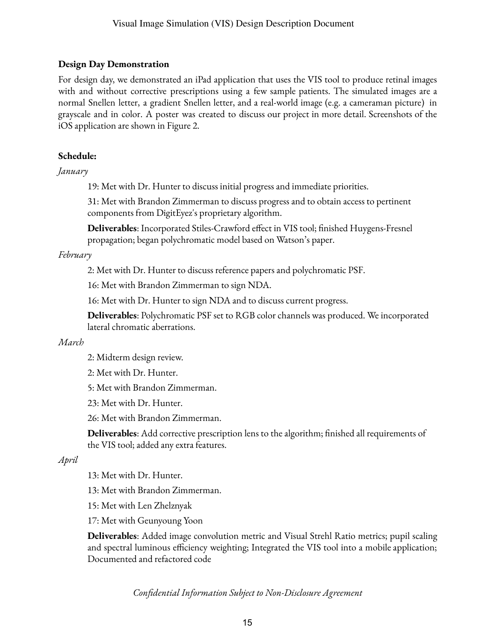## **Design Day Demonstration**

For design day, we demonstrated an iPad application that uses the VIS tool to produce retinal images with and without corrective prescriptions using a few sample patients. The simulated images are a normal Snellen letter, a gradient Snellen letter, and a real-world image (e.g. a cameraman picture) in grayscale and in color. A poster was created to discuss our project in more detail. Screenshots of the iOS application are shown in Figure 2.

#### **Schedule:**

#### *January*

19: Met with Dr. Hunter to discuss initial progress and immediate priorities.

31: Met with Brandon Zimmerman to discuss progress and to obtain access to pertinent components from DigitEyez's proprietary algorithm.

**Deliverables**: Incorporated Stiles-Crawford effect in VIS tool; finished Huygens-Fresnel propagation; began polychromatic model based on Watson's paper.

#### *February*

2: Met with Dr. Hunter to discuss reference papers and polychromatic PSF.

16: Met with Brandon Zimmerman to sign NDA.

16: Met with Dr. Hunter to sign NDA and to discuss current progress.

**Deliverables**: Polychromatic PSF set to RGB color channels was produced. We incorporated lateral chromatic aberrations.

#### *March*

2: Midterm design review.

2: Met with Dr. Hunter.

5: Met with Brandon Zimmerman.

23: Met with Dr. Hunter.

26: Met with Brandon Zimmerman.

**Deliverables**: Add corrective prescription lens to the algorithm; finished all requirements of the VIS tool; added any extra features.

## *April*

13: Met with Dr. Hunter.

13: Met with Brandon Zimmerman.

15: Met with Len Zhelznyak

17: Met with Geunyoung Yoon

**Deliverables**: Added image convolution metric and Visual Strehl Ratio metrics; pupil scaling and spectral luminous efficiency weighting; Integrated the VIS tool into a mobile application; Documented and refactored code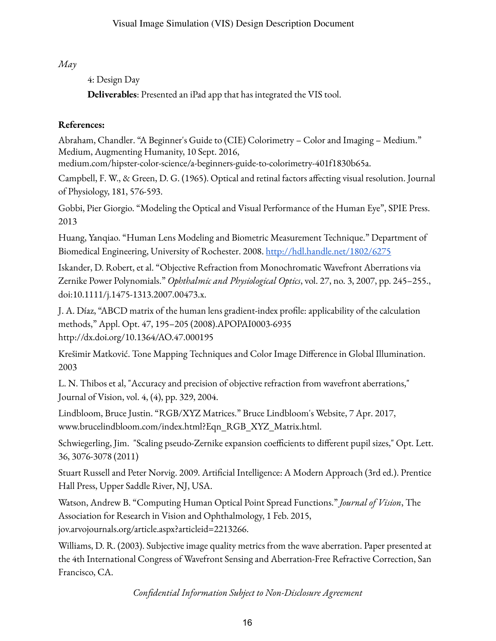## *May*

## 4: Design Day

**Deliverables**: Presented an iPad app that has integrated the VIS tool.

## **References:**

Abraham, Chandler. "A Beginner's Guide to (CIE) Colorimetry – Color and Imaging – Medium." Medium, Augmenting Humanity, 10 Sept. 2016,

medium.com/hipster-color-science/a-beginners-guide-to-colorimetry-401f1830b65a.

Campbell, F. W., & Green, D. G. (1965). Optical and retinal factors affecting visual resolution. Journal of Physiology, 181, 576-593.

Gobbi, Pier Giorgio. "Modeling the Optical and Visual Performance of the Human Eye", SPIE Press. 2013

Huang, Yanqiao. "Human Lens Modeling and Biometric Measurement Technique." Department of Biomedical Engineering, University of Rochester. 2008. http://hdl.handle.net/1802/6275

Iskander, D. Robert, et al. "Objective Refraction from Monochromatic Wavefront Aberrations via Zernike Power Polynomials." *Ophthalmic and Physiological Optics*, vol. 27, no. 3, 2007, pp. 245–255., doi:10.1111/j.1475-1313.2007.00473.x.

J. A. Díaz, "ABCD matrix of the human lens gradient-index profile: applicability of the calculation methods," Appl. Opt. 47, 195–205 (2008).APOPAI0003-6935 http://dx.doi.org/10.1364/AO.47.000195

Krešimir Matković. Tone Mapping Techniques and Color Image Difference in Global Illumination. 2003

L. N. Thibos et al, "Accuracy and precision of objective refraction from wavefront aberrations," Journal of Vision, vol. 4, (4), pp. 329, 2004.

Lindbloom, Bruce Justin. "RGB/XYZ Matrices." Bruce Lindbloom's Website, 7 Apr. 2017, www.brucelindbloom.com/index.html?Eqn\_RGB\_XYZ\_Matrix.html.

Schwiegerling, Jim. "Scaling pseudo-Zernike expansion coefficients to different pupil sizes," Opt. Lett. 36, 3076-3078 (2011)

Stuart Russell and Peter Norvig. 2009. Artificial Intelligence: A Modern Approach (3rd ed.). Prentice Hall Press, Upper Saddle River, NJ, USA.

Watson, Andrew B. "Computing Human Optical Point Spread Functions." *Journal of Vision*, The Association for Research in Vision and Ophthalmology, 1 Feb. 2015, jov.arvojournals.org/article.aspx?articleid=2213266.

Williams, D. R. (2003). Subjective image quality metrics from the wave aberration. Paper presented at the 4th International Congress of Wavefront Sensing and Aberration-Free Refractive Correction, San Francisco, CA.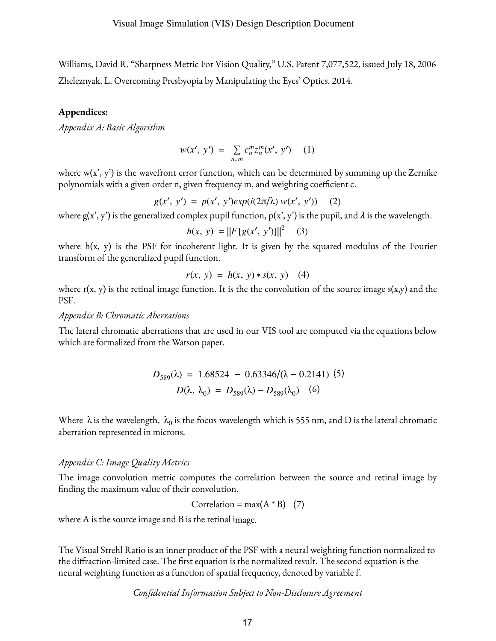Williams, David R. "Sharpness Metric For Vision Quality," U.S. Patent 7,077,522, issued July 18, 2006 Zheleznyak, L. Overcoming Presbyopia by Manipulating the Eyes' Optics. 2014.

#### **Appendices:**

*Appendix A: Basic Algorithm*

$$
w(x', y') = \sum_{n,m} c_n^m z_n^m(x', y') \quad (1)
$$

where  $w(x', y')$  is the wavefront error function, which can be determined by summing up the Zernike polynomials with a given order n, given frequency m, and weighting coefficient c.

$$
g(x', y') = p(x', y')exp(i(2\pi/\lambda) w(x', y')) \quad (2)
$$

where  $g(x', y')$  is the generalized complex pupil function,  $p(x', y')$  is the pupil, and  $\lambda$  is the wavelength.

$$
h(x, y) = ||F[g(x', y')]||^2 \quad (3)
$$

where  $h(x, y)$  is the PSF for incoherent light. It is given by the squared modulus of the Fourier transform of the generalized pupil function.

$$
r(x, y) = h(x, y) * s(x, y) \quad (4)
$$

where  $r(x, y)$  is the retinal image function. It is the the convolution of the source image  $s(x,y)$  and the PSF.

*Appendix B: Chromatic Aberrations*

The lateral chromatic aberrations that are used in our VIS tool are computed viathe equations below which are formalized from the Watson paper.

$$
D_{589}(\lambda) = 1.68524 - 0.63346/(\lambda - 0.2141) (5)
$$
  

$$
D(\lambda, \lambda_0) = D_{589}(\lambda) - D_{589}(\lambda_0) (6)
$$

Where  $\lambda$  is the wavelength,  $\lambda_0$  is the focus wavelength which is 555 nm, and D is the lateral chromatic aberration represented in microns.

#### *Appendix C: Image Quality Metrics*

The image convolution metric computes the correlation between the source and retinal image by finding the maximum value of their convolution.

Correlation = max(
$$
A * B
$$
) (7)

where A is the source image and B is the retinal image.

The Visual Strehl Ratio is an inner product of the PSF with a neural weighting function normalized to the diffraction-limited case. The first equation is the normalized result. The second equation is the neural weighting function as a function of spatial frequency, denoted by variable f.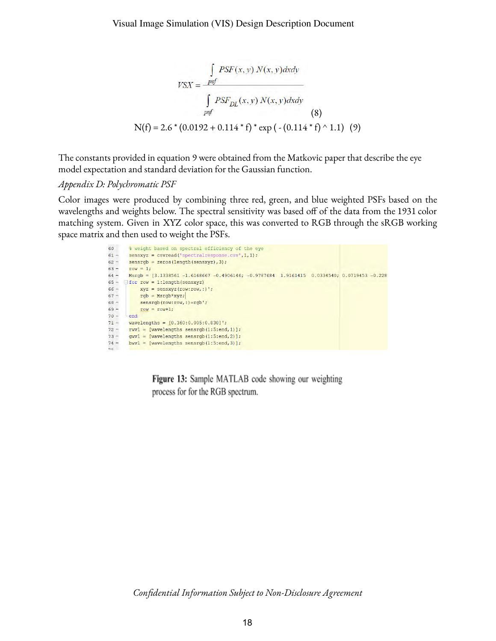$$
VSX = \frac{\int_{psf} PSF(x, y) N(x, y) dxdy}{\int_{psf} PSF_{DL}(x, y) N(x, y) dxdy}
$$
\n
$$
N(f) = 2.6 * (0.0192 + 0.114 * f) * exp(- (0.114 * f) ^ 1.1) (9)
$$

The constants provided in equation 9 were obtained from the Matkovic paper that describe the eye model expectation and standard deviation for the Gaussian function.

#### *Appendix D: Polychromatic PSF*

Color images were produced by combining three red, green, and blue weighted PSFs based on the wavelengths and weights below. The spectral sensitivity was based off of the data from the 1931 color matching system. Given in XYZ color space, this was converted to RGB through the sRGB working space matrix and then used to weight the PSFs.



**Figure 13:** Sample MATLAB code showing our weighting process for for the RGB spectrum.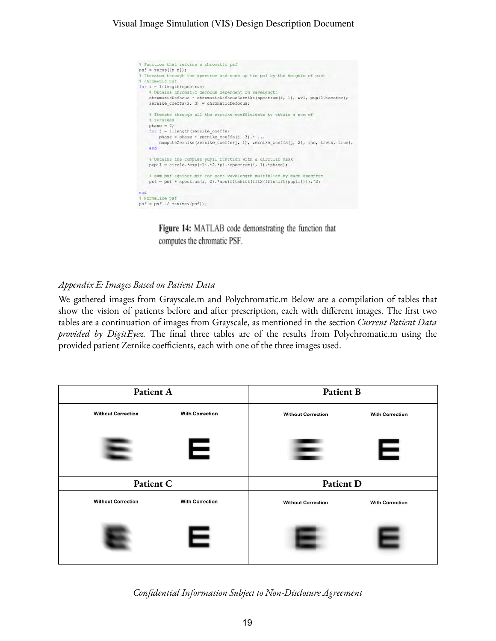## Visual Image Simulation (VIS) Design Description Document



Figure 14: MATLAB code demonstrating the function that computes the chromatic PSF.

## *Appendix E: Images Based on Patient Data*

We gathered images from Grayscale.m and Polychromatic.m Below are a compilation of tables that show the vision of patients before and after prescription, each with different images. The first two tables are a continuation of images from Grayscale, as mentioned in the section *Current Patient Data provided by DigitEyez*. The final three tables are of the results from Polychromatic.m using the provided patient Zernike coefficients, each with one of the three images used.

| Patient A                 |                        | <b>Patient B</b>          |                        |
|---------------------------|------------------------|---------------------------|------------------------|
| <b>Without Correction</b> | <b>With Correction</b> | <b>Without Correction</b> | <b>With Correction</b> |
|                           | Е                      |                           | Ε                      |
| Patient C                 |                        | Patient D                 |                        |
| <b>Without Correction</b> | <b>With Correction</b> | <b>Without Correction</b> | <b>With Correction</b> |
|                           | Е                      |                           |                        |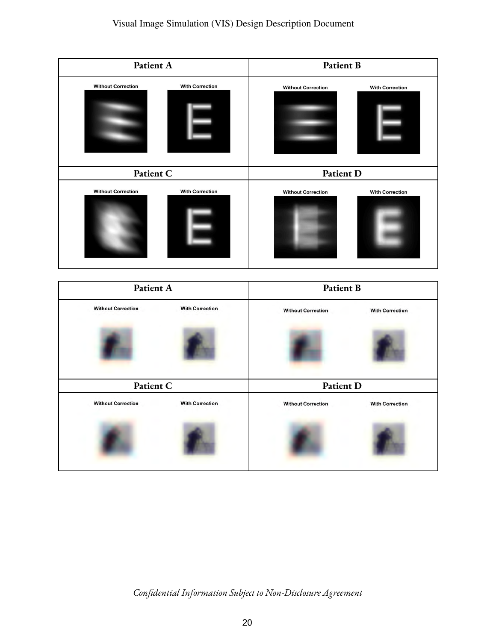| Patient A                 |                        | Patient B                 |                        |  |
|---------------------------|------------------------|---------------------------|------------------------|--|
| <b>Without Correction</b> | <b>With Correction</b> | <b>Without Correction</b> | <b>With Correction</b> |  |
| Patient C                 |                        | Patient D                 |                        |  |
| <b>Without Correction</b> | <b>With Correction</b> | <b>Without Correction</b> | <b>With Correction</b> |  |

|                           | Patient A              |                           | <b>Patient B</b>       |  |
|---------------------------|------------------------|---------------------------|------------------------|--|
| <b>Without Correction</b> | <b>With Correction</b> | <b>Without Correction</b> | <b>With Correction</b> |  |
|                           |                        |                           |                        |  |
|                           | Patient C              |                           | Patient D              |  |
| <b>Without Correction</b> | <b>With Correction</b> | <b>Without Correction</b> | <b>With Correction</b> |  |
|                           |                        |                           |                        |  |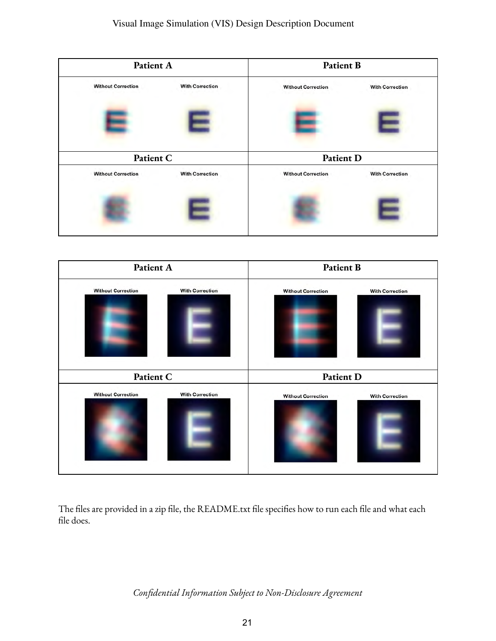|                           | Patient A              |                           | <b>Patient B</b>       |  |
|---------------------------|------------------------|---------------------------|------------------------|--|
| <b>Without Correction</b> | <b>With Correction</b> | <b>Without Correction</b> | <b>With Correction</b> |  |
|                           |                        |                           |                        |  |
|                           | Patient C              |                           | Patient D              |  |
| <b>Without Correction</b> | <b>With Correction</b> | <b>Without Correction</b> | <b>With Correction</b> |  |
|                           |                        |                           |                        |  |



The files are provided in a zip file, the README.txt file specifies how to run each file and what each file does.